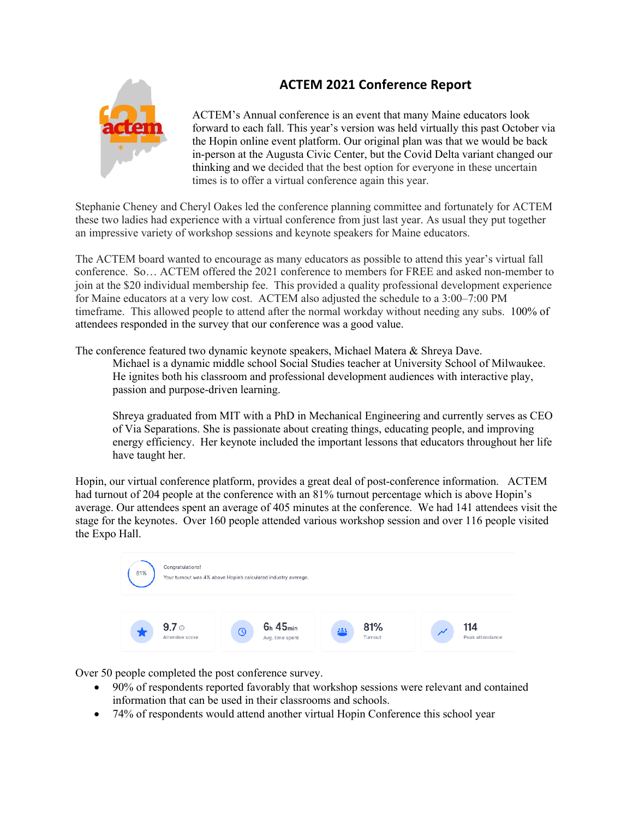## **ACTEM 2021 Conference Report**



ACTEM's Annual conference is an event that many Maine educators look forward to each fall. This year's version was held virtually this past October via the Hopin online event platform. Our original plan was that we would be back in-person at the Augusta Civic Center, but the Covid Delta variant changed our thinking and we decided that the best option for everyone in these uncertain times is to offer a virtual conference again this year.

Stephanie Cheney and Cheryl Oakes led the conference planning committee and fortunately for ACTEM these two ladies had experience with a virtual conference from just last year. As usual they put together an impressive variety of workshop sessions and keynote speakers for Maine educators.

The ACTEM board wanted to encourage as many educators as possible to attend this year's virtual fall conference. So… ACTEM offered the 2021 conference to members for FREE and asked non-member to join at the \$20 individual membership fee. This provided a quality professional development experience for Maine educators at a very low cost. ACTEM also adjusted the schedule to a 3:00–7:00 PM timeframe. This allowed people to attend after the normal workday without needing any subs. 100% of attendees responded in the survey that our conference was a good value.

The conference featured two dynamic keynote speakers, Michael Matera & Shreya Dave.

Michael is a dynamic middle school Social Studies teacher at University School of Milwaukee. He ignites both his classroom and professional development audiences with interactive play, passion and purpose-driven learning.

Shreya graduated from MIT with a PhD in Mechanical Engineering and currently serves as CEO of Via Separations. She is passionate about creating things, educating people, and improving energy efficiency. Her keynote included the important lessons that educators throughout her life have taught her.

Hopin, our virtual conference platform, provides a great deal of post-conference information. ACTEM had turnout of 204 people at the conference with an 81% turnout percentage which is above Hopin's average. Our attendees spent an average of 405 minutes at the conference. We had 141 attendees visit the stage for the keynotes. Over 160 people attended various workshop session and over 116 people visited the Expo Hall.



Over 50 people completed the post conference survey.

- 90% of respondents reported favorably that workshop sessions were relevant and contained information that can be used in their classrooms and schools.
- 74% of respondents would attend another virtual Hopin Conference this school year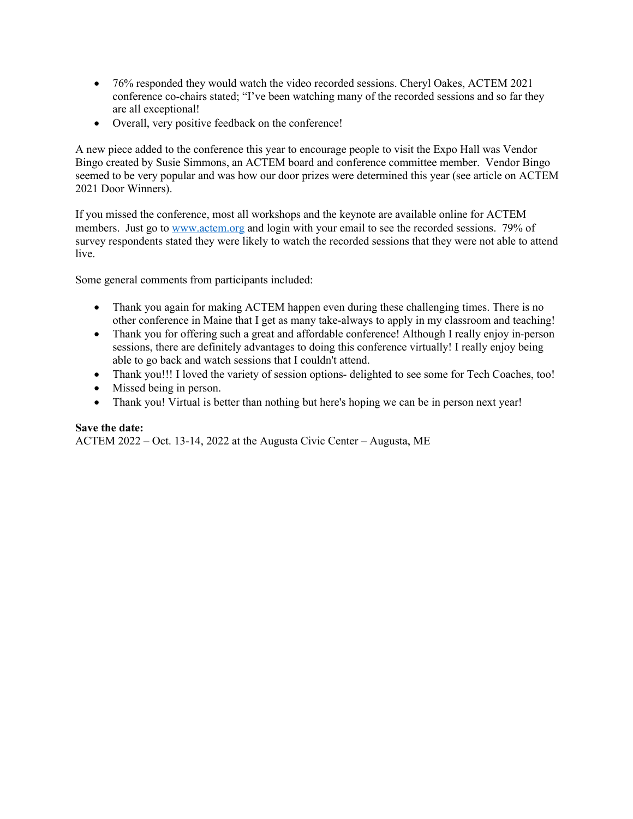- 76% responded they would watch the video recorded sessions. Cheryl Oakes, ACTEM 2021 conference co-chairs stated; "I've been watching many of the recorded sessions and so far they are all exceptional!
- Overall, very positive feedback on the conference!

A new piece added to the conference this year to encourage people to visit the Expo Hall was Vendor Bingo created by Susie Simmons, an ACTEM board and conference committee member. Vendor Bingo seemed to be very popular and was how our door prizes were determined this year (see article on ACTEM 2021 Door Winners).

If you missed the conference, most all workshops and the keynote are available online for ACTEM members. Just go to www.actem.org and login with your email to see the recorded sessions. 79% of survey respondents stated they were likely to watch the recorded sessions that they were not able to attend live.

Some general comments from participants included:

- Thank you again for making ACTEM happen even during these challenging times. There is no other conference in Maine that I get as many take-always to apply in my classroom and teaching!
- Thank you for offering such a great and affordable conference! Although I really enjoy in-person sessions, there are definitely advantages to doing this conference virtually! I really enjoy being able to go back and watch sessions that I couldn't attend.
- Thank you!!! I loved the variety of session options- delighted to see some for Tech Coaches, too!
- Missed being in person.
- Thank you! Virtual is better than nothing but here's hoping we can be in person next year!

#### **Save the date:**

ACTEM 2022 – Oct. 13-14, 2022 at the Augusta Civic Center – Augusta, ME